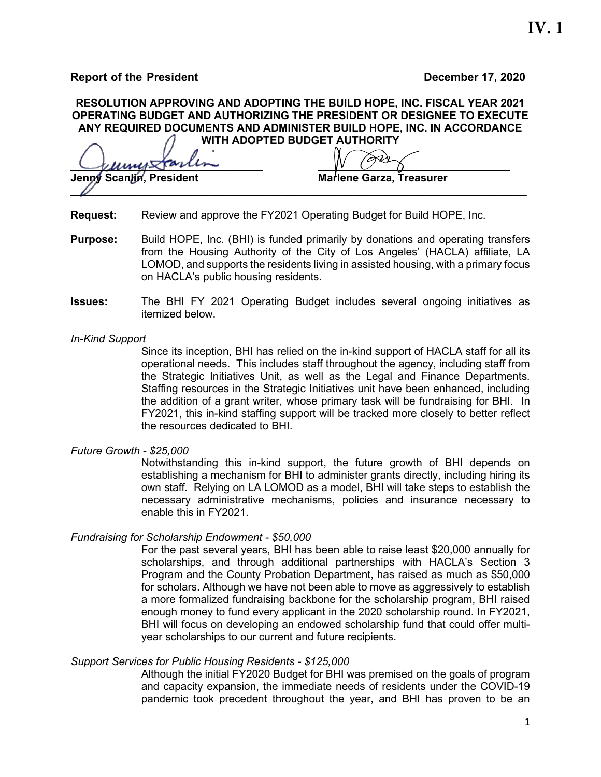**Report of the President December 17, 2020**

# **RESOLUTION APPROVING AND ADOPTING THE BUILD HOPE, INC. FISCAL YEAR 2021 OPERATING BUDGET AND AUTHORIZING THE PRESIDENT OR DESIGNEE TO EXECUTE ANY REQUIRED DOCUMENTS AND ADMINISTER BUILD HOPE, INC. IN ACCORDANCE WITH ADOPTED BUDGET AUTHORITY**

\_\_\_\_\_\_\_\_\_\_\_\_\_\_\_\_\_\_\_\_\_\_\_\_\_\_\_\_\_\_\_\_ \_\_\_\_\_\_\_\_\_\_\_\_\_\_\_\_\_\_\_\_\_\_\_\_\_\_\_\_\_\_\_\_ **Marlene Garza, Treasurer**  $\mathscr U$ 

**Request:** Review and approve the FY2021 Operating Budget for Build HOPE, Inc.

- **Purpose:** Build HOPE, Inc. (BHI) is funded primarily by donations and operating transfers from the Housing Authority of the City of Los Angeles' (HACLA) affiliate, LA LOMOD, and supports the residents living in assisted housing, with a primary focus on HACLA's public housing residents.
- **Issues:** The BHI FY 2021 Operating Budget includes several ongoing initiatives as itemized below.

#### *In-Kind Support*

Since its inception, BHI has relied on the in-kind support of HACLA staff for all its operational needs. This includes staff throughout the agency, including staff from the Strategic Initiatives Unit, as well as the Legal and Finance Departments. Staffing resources in the Strategic Initiatives unit have been enhanced, including the addition of a grant writer, whose primary task will be fundraising for BHI. In FY2021, this in-kind staffing support will be tracked more closely to better reflect the resources dedicated to BHI.

#### *Future Growth - \$25,000*

Notwithstanding this in-kind support, the future growth of BHI depends on establishing a mechanism for BHI to administer grants directly, including hiring its own staff. Relying on LA LOMOD as a model, BHI will take steps to establish the necessary administrative mechanisms, policies and insurance necessary to enable this in FY2021.

### *Fundraising for Scholarship Endowment - \$50,000*

For the past several years, BHI has been able to raise least \$20,000 annually for scholarships, and through additional partnerships with HACLA's Section 3 Program and the County Probation Department, has raised as much as \$50,000 for scholars. Although we have not been able to move as aggressively to establish a more formalized fundraising backbone for the scholarship program, BHI raised enough money to fund every applicant in the 2020 scholarship round. In FY2021, BHI will focus on developing an endowed scholarship fund that could offer multiyear scholarships to our current and future recipients.

### *Support Services for Public Housing Residents - \$125,000*

Although the initial FY2020 Budget for BHI was premised on the goals of program and capacity expansion, the immediate needs of residents under the COVID-19 pandemic took precedent throughout the year, and BHI has proven to be an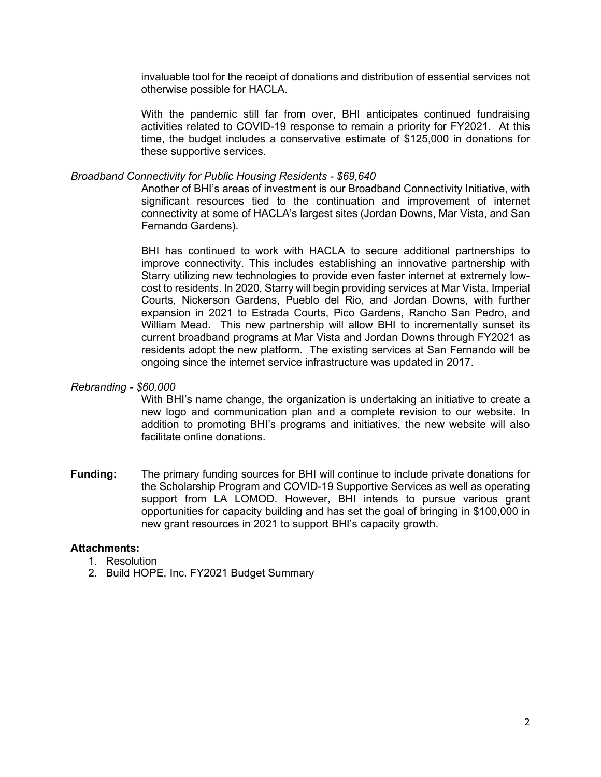invaluable tool for the receipt of donations and distribution of essential services not otherwise possible for HACLA.

With the pandemic still far from over, BHI anticipates continued fundraising activities related to COVID-19 response to remain a priority for FY2021. At this time, the budget includes a conservative estimate of \$125,000 in donations for these supportive services.

### *Broadband Connectivity for Public Housing Residents - \$69,640*

Another of BHI's areas of investment is our Broadband Connectivity Initiative, with significant resources tied to the continuation and improvement of internet connectivity at some of HACLA's largest sites (Jordan Downs, Mar Vista, and San Fernando Gardens).

BHI has continued to work with HACLA to secure additional partnerships to improve connectivity. This includes establishing an innovative partnership with Starry utilizing new technologies to provide even faster internet at extremely lowcost to residents. In 2020, Starry will begin providing services at Mar Vista, Imperial Courts, Nickerson Gardens, Pueblo del Rio, and Jordan Downs, with further expansion in 2021 to Estrada Courts, Pico Gardens, Rancho San Pedro, and William Mead. This new partnership will allow BHI to incrementally sunset its current broadband programs at Mar Vista and Jordan Downs through FY2021 as residents adopt the new platform. The existing services at San Fernando will be ongoing since the internet service infrastructure was updated in 2017.

#### *Rebranding - \$60,000*

With BHI's name change, the organization is undertaking an initiative to create a new logo and communication plan and a complete revision to our website. In addition to promoting BHI's programs and initiatives, the new website will also facilitate online donations.

**Funding:** The primary funding sources for BHI will continue to include private donations for the Scholarship Program and COVID-19 Supportive Services as well as operating support from LA LOMOD. However, BHI intends to pursue various grant opportunities for capacity building and has set the goal of bringing in \$100,000 in new grant resources in 2021 to support BHI's capacity growth.

### **Attachments:**

- 1. Resolution
- 2. Build HOPE, Inc. FY2021 Budget Summary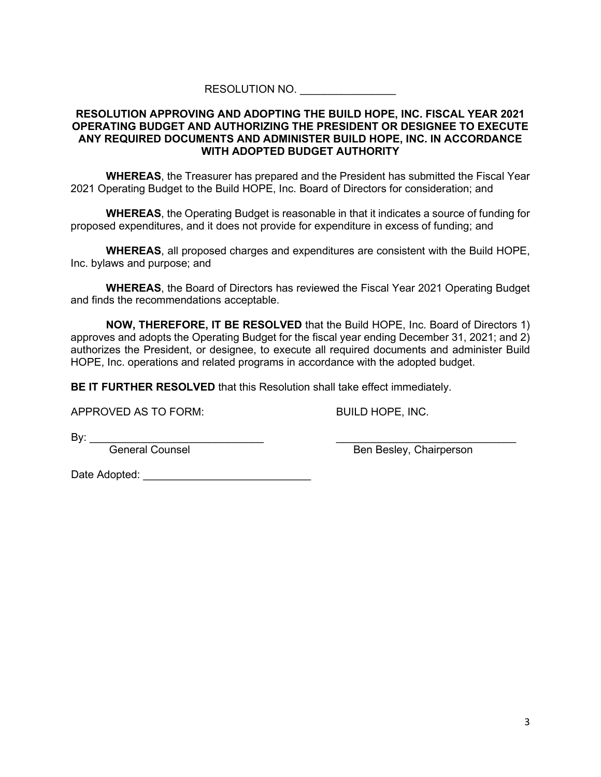## RESOLUTION NO.

## **RESOLUTION APPROVING AND ADOPTING THE BUILD HOPE, INC. FISCAL YEAR 2021 OPERATING BUDGET AND AUTHORIZING THE PRESIDENT OR DESIGNEE TO EXECUTE ANY REQUIRED DOCUMENTS AND ADMINISTER BUILD HOPE, INC. IN ACCORDANCE WITH ADOPTED BUDGET AUTHORITY**

**WHEREAS**, the Treasurer has prepared and the President has submitted the Fiscal Year 2021 Operating Budget to the Build HOPE, Inc. Board of Directors for consideration; and

**WHEREAS**, the Operating Budget is reasonable in that it indicates a source of funding for proposed expenditures, and it does not provide for expenditure in excess of funding; and

**WHEREAS**, all proposed charges and expenditures are consistent with the Build HOPE, Inc. bylaws and purpose; and

**WHEREAS**, the Board of Directors has reviewed the Fiscal Year 2021 Operating Budget and finds the recommendations acceptable.

**NOW, THEREFORE, IT BE RESOLVED** that the Build HOPE, Inc. Board of Directors 1) approves and adopts the Operating Budget for the fiscal year ending December 31, 2021; and 2) authorizes the President, or designee, to execute all required documents and administer Build HOPE, Inc. operations and related programs in accordance with the adopted budget.

**BE IT FURTHER RESOLVED** that this Resolution shall take effect immediately.

APPROVED AS TO FORM: BUILD HOPE, INC.

By: \_\_\_\_\_\_\_\_\_\_\_\_\_\_\_\_\_\_\_\_\_\_\_\_\_\_\_\_\_ \_\_\_\_\_\_\_\_\_\_\_\_\_\_\_\_\_\_\_\_\_\_\_\_\_\_\_\_\_\_

General Counsel and Ben Besley, Chairperson

Date Adopted: \_\_\_\_\_\_\_\_\_\_\_\_\_\_\_\_\_\_\_\_\_\_\_\_\_\_\_\_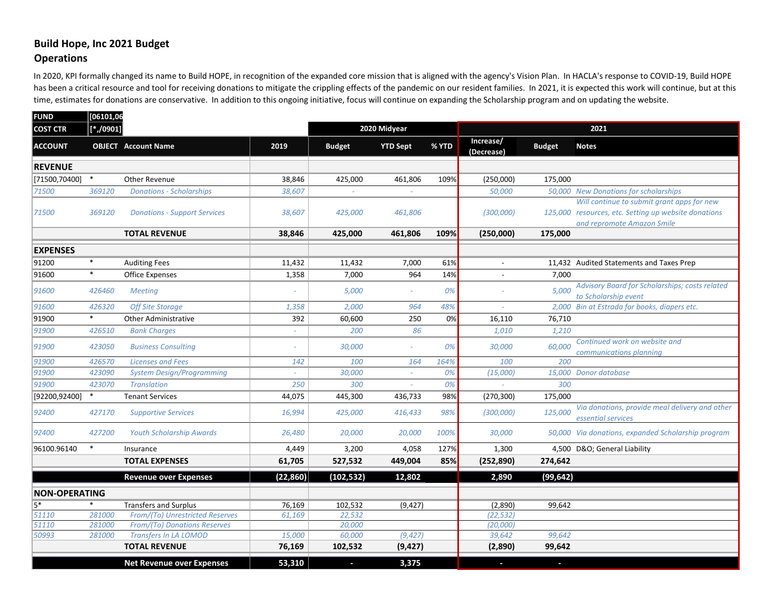# **Build Hope, Inc 2021 Budget Operations**

In 2020, KPI formally changed its name to Build HOPE, in recognition of the expanded core mission that is aligned with the agency's Vision Plan. In HACLA's response to COVID-19, Build HOPE has been a critical resource and tool for receiving donations to mitigate the crippling effects of the pandemic on our resident families. In 2021, it is expected this work will continue, but at this time, estimates for donations are conservative. In addition to this ongoing initiative, focus will continue on expanding the Scholarship program and on updating the website.

| <b>FUND</b>                   | [06101,06 |                                     |              |               |                 |       |                         |               |                                                                      |  |  |
|-------------------------------|-----------|-------------------------------------|--------------|---------------|-----------------|-------|-------------------------|---------------|----------------------------------------------------------------------|--|--|
| $[*/0901]$<br><b>COST CTR</b> |           |                                     | 2020 Midyear |               |                 |       | 2021                    |               |                                                                      |  |  |
| <b>ACCOUNT</b>                |           | <b>OBJECT</b> Account Name          | 2019         | <b>Budget</b> | <b>YTD Sept</b> | % YTD | Increase/<br>(Decrease) | <b>Budget</b> | <b>Notes</b>                                                         |  |  |
| <b>REVENUE</b>                |           |                                     |              |               |                 |       |                         |               |                                                                      |  |  |
| [71500,70400]                 | $\ast$    | Other Revenue                       | 38,846       | 425,000       | 461,806         | 109%  | (250,000)               | 175,000       |                                                                      |  |  |
| 71500                         | 369120    | <b>Donations - Scholarships</b>     | 38,607       |               |                 |       | 50,000                  |               | 50,000 New Donations for scholarships                                |  |  |
|                               |           |                                     |              |               |                 |       |                         |               | Will continue to submit grant apps for new                           |  |  |
| 71500                         | 369120    | <b>Donations - Support Services</b> | 38,607       | 425,000       | 461,806         |       | (300,000)               |               | 125,000 resources, etc. Setting up website donations                 |  |  |
|                               |           |                                     |              |               |                 |       |                         |               | and repromote Amazon Smile                                           |  |  |
|                               |           | <b>TOTAL REVENUE</b>                | 38,846       | 425,000       | 461,806         | 109%  | (250,000)               | 175,000       |                                                                      |  |  |
| <b>EXPENSES</b>               |           |                                     |              |               |                 |       |                         |               |                                                                      |  |  |
| 91200                         | $\ast$    | <b>Auditing Fees</b>                | 11,432       | 11,432        | 7,000           | 61%   | $\overline{a}$          |               | 11,432 Audited Statements and Taxes Prep                             |  |  |
| 91600                         | $\ast$    | <b>Office Expenses</b>              | 1,358        | 7,000         | 964             | 14%   |                         | 7,000         |                                                                      |  |  |
| 91600                         | 426460    | <b>Meeting</b>                      |              | 5,000         | ÷.              | 0%    |                         | 5,000         | Advisory Board for Scholarships; costs related                       |  |  |
|                               |           |                                     |              |               |                 |       |                         |               | to Scholarship event                                                 |  |  |
| 91600                         | 426320    | <b>Off Site Storage</b>             | 1,358        | 2,000         | 964             | 48%   |                         |               | 2,000 Bin at Estrada for books, diapers etc.                         |  |  |
| 91900                         | $\ast$    | <b>Other Administrative</b>         | 392          | 60,600        | 250             | 0%    | 16,110                  | 76,710        |                                                                      |  |  |
| 91900                         | 426510    | <b>Bank Charges</b>                 |              | 200           | 86              |       | 1,010                   | 1,210         |                                                                      |  |  |
| 91900                         | 423050    | <b>Business Consulting</b>          |              | 30,000        | ÷.              | 0%    | 30,000                  | 60,000        | Continued work on website and<br>communications planning             |  |  |
| 91900                         | 426570    | <b>Licenses and Fees</b>            | 142          | 100           | 164             | 164%  | 100                     | 200           |                                                                      |  |  |
| 91900                         | 423090    | <b>System Design/Programming</b>    |              | 30,000        | $\omega$ .      | 0%    | (15,000)                |               | 15,000 Donor database                                                |  |  |
| 91900                         | 423070    | <b>Translation</b>                  | 250          | 300           | ÷.              | 0%    |                         | 300           |                                                                      |  |  |
| [92200,92400]                 | $\ast$    | <b>Tenant Services</b>              | 44,075       | 445,300       | 436,733         | 98%   | (270, 300)              | 175,000       |                                                                      |  |  |
| 92400                         | 427170    | <b>Supportive Services</b>          | 16,994       | 425,000       | 416,433         | 98%   | (300,000)               | 125,000       | Via donations, provide meal delivery and other<br>essential services |  |  |
| 92400                         | 427200    | <b>Youth Scholarship Awards</b>     | 26,480       | 20,000        | 20,000          | 100%  | 30,000                  |               | 50,000 Via donations, expanded Scholarship program                   |  |  |
| 96100.96140                   | $\ast$    | Insurance                           | 4,449        | 3,200         | 4,058           | 127%  | 1,300                   |               | 4,500 D&O General Liability                                          |  |  |
|                               |           | <b>TOTAL EXPENSES</b>               | 61,705       | 527,532       | 449,004         | 85%   | (252, 890)              | 274,642       |                                                                      |  |  |
|                               |           | <b>Revenue over Expenses</b>        | (22, 860)    | (102, 532)    | 12,802          |       | 2,890                   | (99, 642)     |                                                                      |  |  |
| <b>NON-OPERATING</b>          |           |                                     |              |               |                 |       |                         |               |                                                                      |  |  |
| $\overline{5^*}$              | $\ast$    | <b>Transfers and Surplus</b>        | 76,169       | 102,532       | (9, 427)        |       | (2,890)                 | 99,642        |                                                                      |  |  |
| 51110                         | 281000    | From/(To) Unrestricted Reserves     | 61,169       | 22,532        |                 |       | (22, 532)               |               |                                                                      |  |  |
| 51110                         | 281000    | From/(To) Donations Reserves        |              | 20,000        |                 |       | (20,000)                |               |                                                                      |  |  |
| 50993                         | 281000    | <b>Transfers In LA LOMOD</b>        | 15,000       | 60,000        | (9, 427)        |       | 39,642                  | 99,642        |                                                                      |  |  |
|                               |           | <b>TOTAL REVENUE</b>                | 76,169       | 102,532       | (9, 427)        |       | (2,890)                 | 99,642        |                                                                      |  |  |
|                               |           | <b>Net Revenue over Expenses</b>    | 53,310       | $\sim$        | 3,375           |       | $\blacksquare$          | o.            |                                                                      |  |  |